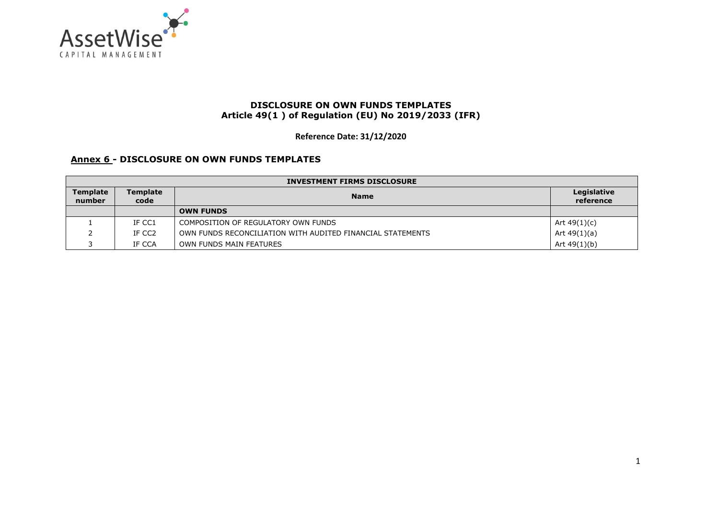

## **DISCLOSURE ON OWN FUNDS TEMPLATES Article 49(1 ) of Regulation (EU) No 2019/2033 (IFR)**

**Reference Date: 31/12/2020** 

## **Annex 6 - DISCLOSURE ON OWN FUNDS TEMPLATES**

| <b>INVESTMENT FIRMS DISCLOSURE</b> |                                        |                                                            |                          |
|------------------------------------|----------------------------------------|------------------------------------------------------------|--------------------------|
| <b>Template</b><br>number          | <b>Template</b><br><b>Name</b><br>code |                                                            | Legislative<br>reference |
|                                    |                                        | <b>OWN FUNDS</b>                                           |                          |
|                                    | IF CC1                                 | COMPOSITION OF REGULATORY OWN FUNDS                        | Art $49(1)(c)$           |
|                                    | IF CC2                                 | OWN FUNDS RECONCILIATION WITH AUDITED FINANCIAL STATEMENTS | Art $49(1)(a)$           |
|                                    | IF CCA                                 | OWN FUNDS MAIN FEATURES                                    | Art $49(1)(b)$           |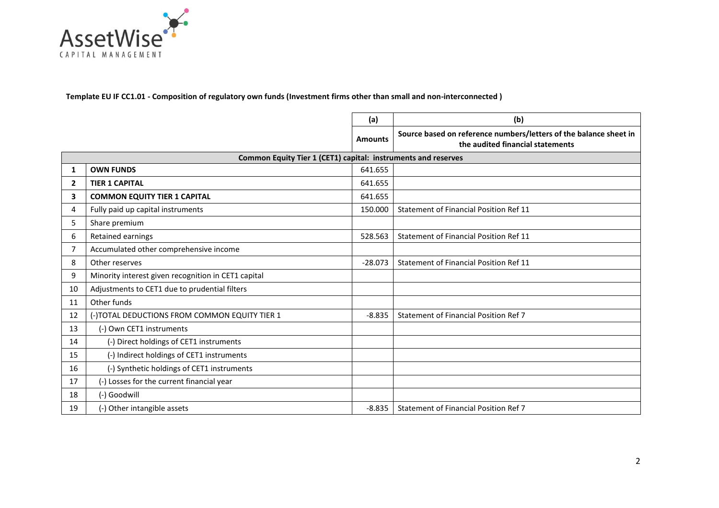

**Template EU IF CC1.01 - Composition of regulatory own funds (Investment firms other than small and non-interconnected )**

|    |                                                               | (a)            | (b)                                                                                                   |
|----|---------------------------------------------------------------|----------------|-------------------------------------------------------------------------------------------------------|
|    |                                                               | <b>Amounts</b> | Source based on reference numbers/letters of the balance sheet in<br>the audited financial statements |
|    | Common Equity Tier 1 (CET1) capital: instruments and reserves |                |                                                                                                       |
| 1  | <b>OWN FUNDS</b>                                              | 641.655        |                                                                                                       |
| 2  | <b>TIER 1 CAPITAL</b>                                         | 641.655        |                                                                                                       |
| 3  | <b>COMMON EQUITY TIER 1 CAPITAL</b>                           | 641.655        |                                                                                                       |
| 4  | Fully paid up capital instruments                             | 150.000        | Statement of Financial Position Ref 11                                                                |
| 5  | Share premium                                                 |                |                                                                                                       |
| 6  | Retained earnings                                             | 528.563        | Statement of Financial Position Ref 11                                                                |
| 7  | Accumulated other comprehensive income                        |                |                                                                                                       |
| 8  | Other reserves                                                | $-28.073$      | <b>Statement of Financial Position Ref 11</b>                                                         |
| 9  | Minority interest given recognition in CET1 capital           |                |                                                                                                       |
| 10 | Adjustments to CET1 due to prudential filters                 |                |                                                                                                       |
| 11 | Other funds                                                   |                |                                                                                                       |
| 12 | (-)TOTAL DEDUCTIONS FROM COMMON EQUITY TIER 1                 | $-8.835$       | Statement of Financial Position Ref 7                                                                 |
| 13 | (-) Own CET1 instruments                                      |                |                                                                                                       |
| 14 | (-) Direct holdings of CET1 instruments                       |                |                                                                                                       |
| 15 | (-) Indirect holdings of CET1 instruments                     |                |                                                                                                       |
| 16 | (-) Synthetic holdings of CET1 instruments                    |                |                                                                                                       |
| 17 | (-) Losses for the current financial year                     |                |                                                                                                       |
| 18 | (-) Goodwill                                                  |                |                                                                                                       |
| 19 | (-) Other intangible assets                                   | $-8.835$       | Statement of Financial Position Ref 7                                                                 |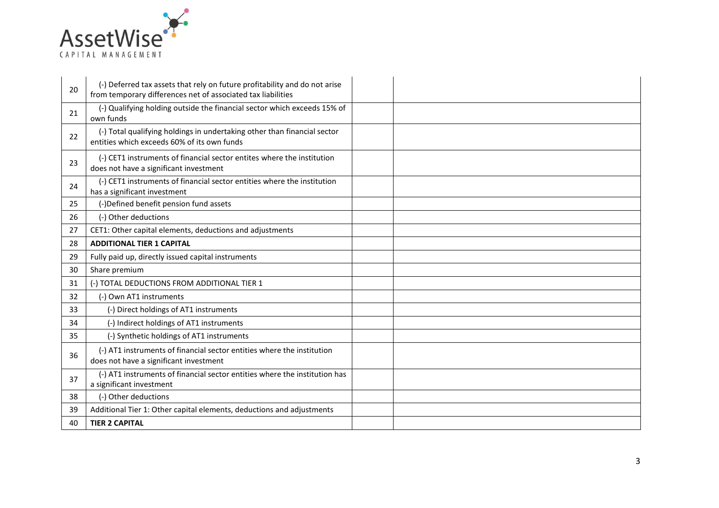

| 20 | (-) Deferred tax assets that rely on future profitability and do not arise<br>from temporary differences net of associated tax liabilities |  |
|----|--------------------------------------------------------------------------------------------------------------------------------------------|--|
| 21 | (-) Qualifying holding outside the financial sector which exceeds 15% of<br>own funds                                                      |  |
| 22 | (-) Total qualifying holdings in undertaking other than financial sector<br>entities which exceeds 60% of its own funds                    |  |
| 23 | (-) CET1 instruments of financial sector entites where the institution<br>does not have a significant investment                           |  |
| 24 | (-) CET1 instruments of financial sector entities where the institution<br>has a significant investment                                    |  |
| 25 | (-)Defined benefit pension fund assets                                                                                                     |  |
| 26 | (-) Other deductions                                                                                                                       |  |
| 27 | CET1: Other capital elements, deductions and adjustments                                                                                   |  |
| 28 | <b>ADDITIONAL TIER 1 CAPITAL</b>                                                                                                           |  |
| 29 | Fully paid up, directly issued capital instruments                                                                                         |  |
| 30 | Share premium                                                                                                                              |  |
| 31 | (-) TOTAL DEDUCTIONS FROM ADDITIONAL TIER 1                                                                                                |  |
| 32 | (-) Own AT1 instruments                                                                                                                    |  |
| 33 | (-) Direct holdings of AT1 instruments                                                                                                     |  |
| 34 | (-) Indirect holdings of AT1 instruments                                                                                                   |  |
| 35 | (-) Synthetic holdings of AT1 instruments                                                                                                  |  |
| 36 | (-) AT1 instruments of financial sector entities where the institution<br>does not have a significant investment                           |  |
| 37 | (-) AT1 instruments of financial sector entities where the institution has<br>a significant investment                                     |  |
| 38 | (-) Other deductions                                                                                                                       |  |
| 39 | Additional Tier 1: Other capital elements, deductions and adjustments                                                                      |  |
| 40 | <b>TIER 2 CAPITAL</b>                                                                                                                      |  |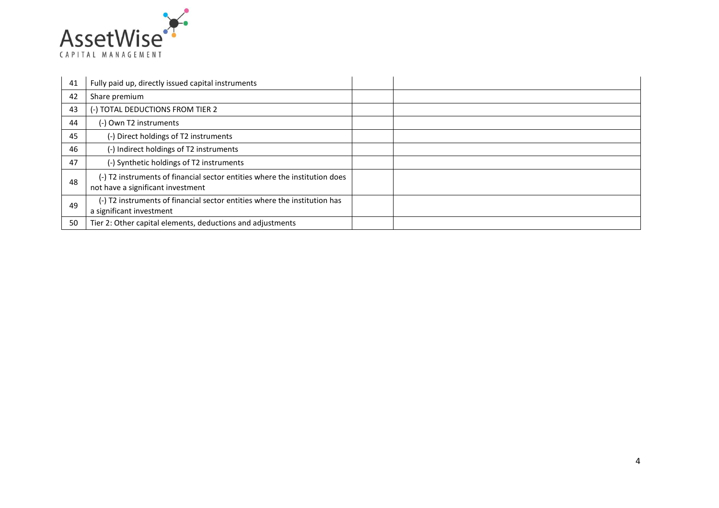

| 41 | Fully paid up, directly issued capital instruments                                                              |  |
|----|-----------------------------------------------------------------------------------------------------------------|--|
| 42 | Share premium                                                                                                   |  |
| 43 | (-) TOTAL DEDUCTIONS FROM TIER 2                                                                                |  |
| 44 | (-) Own T2 instruments                                                                                          |  |
| 45 | (-) Direct holdings of T2 instruments                                                                           |  |
| 46 | (-) Indirect holdings of T2 instruments                                                                         |  |
| 47 | (-) Synthetic holdings of T2 instruments                                                                        |  |
| 48 | (-) T2 instruments of financial sector entities where the institution does<br>not have a significant investment |  |
| 49 | (-) T2 instruments of financial sector entities where the institution has<br>a significant investment           |  |
| 50 | Tier 2: Other capital elements, deductions and adjustments                                                      |  |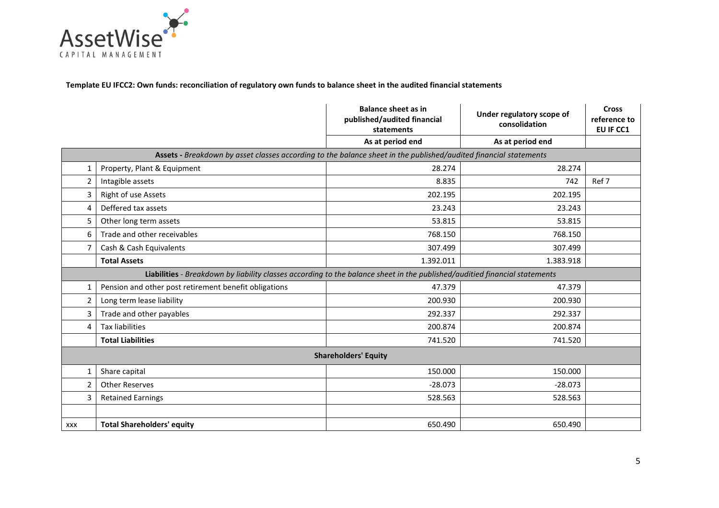

**Template EU IFCC2: Own funds: reconciliation of regulatory own funds to balance sheet in the audited financial statements**

|                             |                                                                                                                            | <b>Balance sheet as in</b><br>published/audited financial<br>statements | Under regulatory scope of<br>consolidation | <b>Cross</b><br>reference to<br>EU IF CC1 |
|-----------------------------|----------------------------------------------------------------------------------------------------------------------------|-------------------------------------------------------------------------|--------------------------------------------|-------------------------------------------|
|                             |                                                                                                                            | As at period end                                                        | As at period end                           |                                           |
|                             | Assets - Breakdown by asset classes according to the balance sheet in the published/audited financial statements           |                                                                         |                                            |                                           |
| 1                           | Property, Plant & Equipment                                                                                                | 28.274                                                                  | 28.274                                     |                                           |
| $\overline{2}$              | Intagible assets                                                                                                           | 8.835                                                                   | 742                                        | Ref 7                                     |
| 3                           | Right of use Assets                                                                                                        | 202.195                                                                 | 202.195                                    |                                           |
| 4                           | Deffered tax assets                                                                                                        | 23.243                                                                  | 23.243                                     |                                           |
| 5                           | Other long term assets                                                                                                     | 53.815                                                                  | 53.815                                     |                                           |
| 6                           | Trade and other receivables                                                                                                | 768.150                                                                 | 768.150                                    |                                           |
| 7                           | Cash & Cash Equivalents                                                                                                    | 307.499                                                                 | 307.499                                    |                                           |
|                             | <b>Total Assets</b>                                                                                                        | 1.392.011                                                               | 1.383.918                                  |                                           |
|                             | Liabilities - Breakdown by liability classes according to the balance sheet in the published/auditied financial statements |                                                                         |                                            |                                           |
| 1                           | Pension and other post retirement benefit obligations                                                                      | 47.379                                                                  | 47.379                                     |                                           |
| $\overline{2}$              | Long term lease liability                                                                                                  | 200.930                                                                 | 200.930                                    |                                           |
| 3                           | Trade and other payables                                                                                                   | 292.337                                                                 | 292.337                                    |                                           |
| 4                           | <b>Tax liabilities</b>                                                                                                     | 200.874                                                                 | 200.874                                    |                                           |
|                             | <b>Total Liabilities</b>                                                                                                   | 741.520                                                                 | 741.520                                    |                                           |
| <b>Shareholders' Equity</b> |                                                                                                                            |                                                                         |                                            |                                           |
| 1                           | Share capital                                                                                                              | 150.000                                                                 | 150.000                                    |                                           |
| 2                           | <b>Other Reserves</b>                                                                                                      | $-28.073$                                                               | $-28.073$                                  |                                           |
| 3                           | <b>Retained Earnings</b>                                                                                                   | 528.563                                                                 | 528.563                                    |                                           |
|                             |                                                                                                                            |                                                                         |                                            |                                           |
| <b>XXX</b>                  | <b>Total Shareholders' equity</b>                                                                                          | 650.490                                                                 | 650.490                                    |                                           |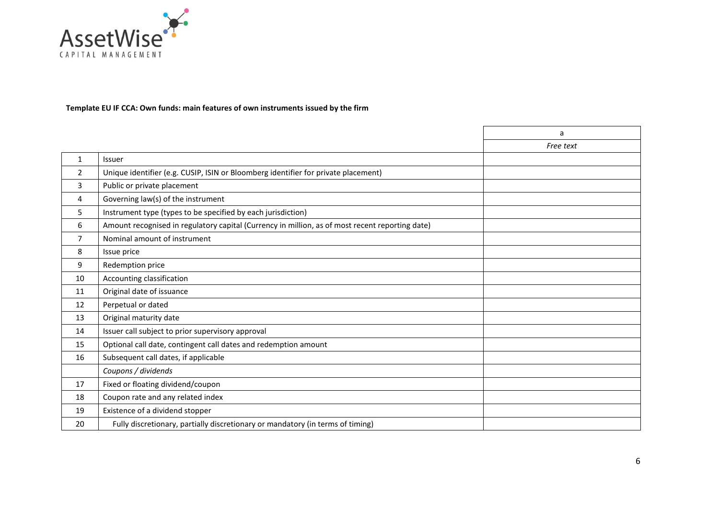

## **Template EU IF CCA: Own funds: main features of own instruments issued by the firm**

|                |                                                                                                 | a         |
|----------------|-------------------------------------------------------------------------------------------------|-----------|
|                |                                                                                                 | Free text |
| $\mathbf{1}$   | Issuer                                                                                          |           |
| $\overline{2}$ | Unique identifier (e.g. CUSIP, ISIN or Bloomberg identifier for private placement)              |           |
| 3              | Public or private placement                                                                     |           |
| 4              | Governing law(s) of the instrument                                                              |           |
| 5              | Instrument type (types to be specified by each jurisdiction)                                    |           |
| 6              | Amount recognised in regulatory capital (Currency in million, as of most recent reporting date) |           |
| $\overline{7}$ | Nominal amount of instrument                                                                    |           |
| 8              | Issue price                                                                                     |           |
| 9              | Redemption price                                                                                |           |
| 10             | Accounting classification                                                                       |           |
| 11             | Original date of issuance                                                                       |           |
| 12             | Perpetual or dated                                                                              |           |
| 13             | Original maturity date                                                                          |           |
| 14             | Issuer call subject to prior supervisory approval                                               |           |
| 15             | Optional call date, contingent call dates and redemption amount                                 |           |
| 16             | Subsequent call dates, if applicable                                                            |           |
|                | Coupons / dividends                                                                             |           |
| 17             | Fixed or floating dividend/coupon                                                               |           |
| 18             | Coupon rate and any related index                                                               |           |
| 19             | Existence of a dividend stopper                                                                 |           |
| 20             | Fully discretionary, partially discretionary or mandatory (in terms of timing)                  |           |